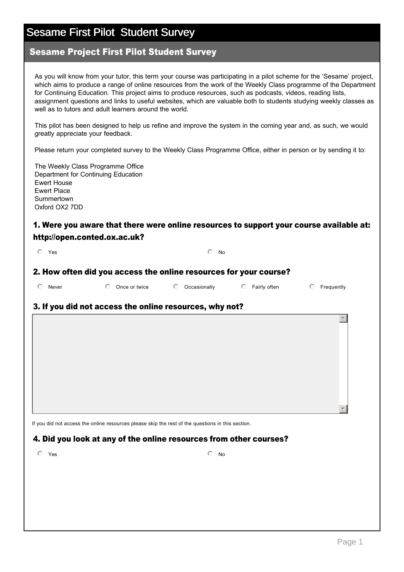### Sesame Project First Pilot Student Survey

As you will know from your tutor, this term your course was participating in a pilot scheme for the 'Sesame' project, which aims to produce a range of online resources from the work of the Weekly Class programme of the Department for Continuing Education. This project aims to produce resources, such as podcasts, videos, reading lists, assignment questions and links to useful websites, which are valuable both to students studying weekly classes as well as to tutors and adult learners around the world.

This pilot has been designed to help us refine and improve the system in the coming year and, as such, we would greatly appreciate your feedback.

Please return your completed survey to the Weekly Class Programme Office, either in person or by sending it to:

The Weekly Class Programme Office Department for Continuing Education Ewert House Ewert Place Summertown Oxford OX2 7DD

### 1. Were you aware that there were online resources to support your course available at: http://open.conted.ox.ac.uk?

| $O$ Yes |  | $\circ$ No |
|---------|--|------------|
|         |  |            |

#### 2. How often did you access the online resources for your course?

| $\circ$ Never | $\circ$ Once or twice | C Occasionally | $\circ$ Fairly often | $\circ$ Frequently |
|---------------|-----------------------|----------------|----------------------|--------------------|

#### 3. If you did not access the online resources, why not?

If you did not access the online resources please skip the rest of the questions in this section.

#### 4. Did you look at any of the online resources from other courses?

 $\overline{\text{O}}$  Yes  $\overline{\text{O}}$  No

 $\blacktriangle$ 

 $\overline{\phantom{a}}$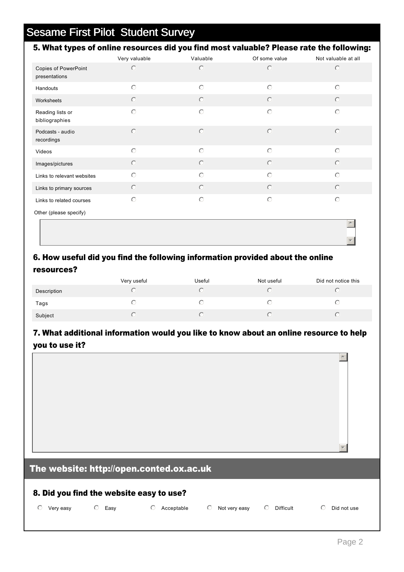|                                              | Very valuable | Valuable   | Of some value | Not valuable at all |
|----------------------------------------------|---------------|------------|---------------|---------------------|
| <b>Copies of PowerPoint</b><br>presentations | $\circ$       | $\circ$    | $\circ$       | $\circ$             |
| Handouts                                     | $\circ$       | $\bigcirc$ | $\bigcirc$    | $\bigcirc$          |
| Worksheets                                   | $\circ$       | $\circ$    | $\circ$       | $\odot$             |
| Reading lists or<br>bibliographies           | $\circ$       | $\circ$    | $\circ$       | $\odot$             |
| Podcasts - audio<br>recordings               | $\circ$       | $\circ$    | $\circ$       | $\odot$             |
| Videos                                       | $\circ$       | $\circ$    | $\bigcirc$    | $\odot$             |
| Images/pictures                              | $\circ$       | $\circ$    | $\circ$       | $\odot$             |
| Links to relevant websites                   | $\circ$       | $\bigcirc$ | $\bigcirc$    | $\odot$             |
| Links to primary sources                     | $\circ$       | $\circ$    | $\odot$       | $\odot$             |
| Links to related courses                     | $\circ$       | $\bigcirc$ | $\circ$       | $\odot$             |
| Other (please specify)                       |               |            |               |                     |

## 6. How useful did you find the following information provided about the online resources?

|             | Very useful | Useful | Not useful | Did not notice this |
|-------------|-------------|--------|------------|---------------------|
| Description |             |        |            |                     |
| Tags        |             |        |            |                     |
| Subject     |             |        |            |                     |

## 7. What additional information would you like to know about an online resource to help you to use it?

## The website: http://open.conted.ox.ac.uk

#### 8. Did you find the website easy to use?

O Very easy  $\hbox{\large\it C}$  Easy  $\hbox{\large\it C}$  Acceptable  $\hbox{\large\it C}$  Not very easy  $\hbox{\large\it C}$  Difficult  $\hbox{\large\it C}$  Did not use

 $\left\vert \blacktriangle\right\vert$ 

 $\overline{\mathbf{v}}$ 

र |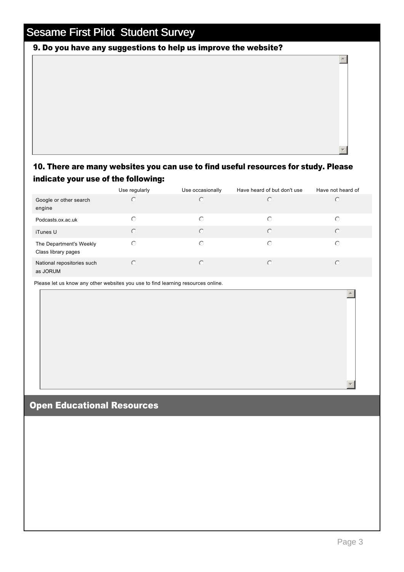## 9. Do you have any suggestions to help us improve the website?

## 10. There are many websites you can use to find useful resources for study. Please indicate your use of the following:

|                                                | Use regularly | Use occasionally | Have heard of but don't use | Have not heard of |
|------------------------------------------------|---------------|------------------|-----------------------------|-------------------|
| Google or other search<br>engine               | $\circ$       | $\bigcap$        | $\subset$                   | $\bigcap$         |
| Podcasts.ox.ac.uk                              | $\bigcirc$    | ∩                | ∩                           | ∩                 |
| iTunes U                                       | $\bigcirc$    | $\bigcap$        | $\odot$                     | $\bigcap$         |
| The Department's Weekly<br>Class library pages | $\bigcirc$    | ∩                | ∩                           | ∩                 |
| National repositories such<br>as JORUM         | $\bigcirc$    | C                | $\bigcap$                   | $\subset$         |

Please let us know any other websites you use to find learning resources online.

## Open Educational Resources

 $\overline{a}$ 

र |

 $\blacktriangle$ 

6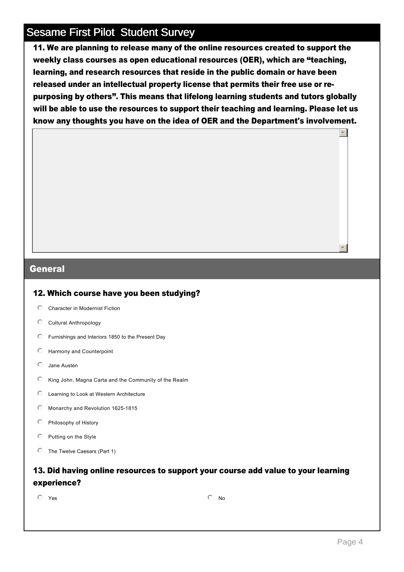11. We are planning to release many of the online resources created to support the weekly class courses as open educational resources (OER), which are "teaching, learning, and research resources that reside in the public domain or have been released under an intellectual property license that permits their free use or repurposing by others". This means that lifelong learning students and tutors globally will be able to use the resources to support their teaching and learning. Please let us know any thoughts you have on the idea of OER and the Department's involvement.

#### General

#### 12. Which course have you been studying?

- $O$  Character in Modernist Fiction
- $\mathbb O$  Cultural Anthropology
- $\heartsuit$  Furnishings and Interiors 1850 to the Present Day
- $O$  Harmony and Counterpoint
- $O$  Jane Austen
- $\heartsuit$  King John, Magna Carta and the Community of the Realm
- $\heartsuit$  Learning to Look at Western Architecture
- $\degree$  Monarchy and Revolution 1625-1815
- $\heartsuit$  Philosophy of History
- $\heartsuit$  Putting on the Style
- $\heartsuit$  The Twelve Caesars (Part 1)

### 13. Did having online resources to support your course add value to your learning experience?

 $\overline{\textcircled{\small{\textsf{N}}}}$  Yes  $\overline{\textcircled{\small{\textsf{N}}}}$ 

 $\overline{\phantom{a}}$ 

▼∥